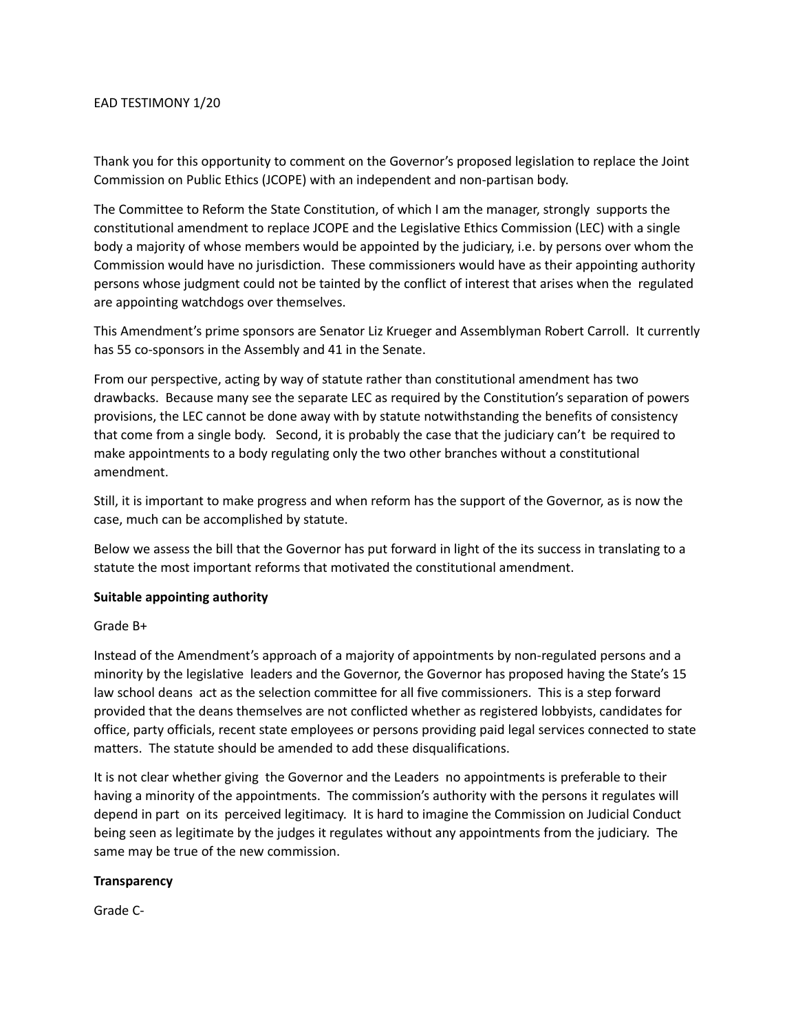#### EAD TESTIMONY 1/20

Thank you for this opportunity to comment on the Governor's proposed legislation to replace the Joint Commission on Public Ethics (JCOPE) with an independent and non-partisan body.

The Committee to Reform the State Constitution, of which I am the manager, strongly supports the constitutional amendment to replace JCOPE and the Legislative Ethics Commission (LEC) with a single body a majority of whose members would be appointed by the judiciary, i.e. by persons over whom the Commission would have no jurisdiction. These commissioners would have as their appointing authority persons whose judgment could not be tainted by the conflict of interest that arises when the regulated are appointing watchdogs over themselves.

This Amendment's prime sponsors are Senator Liz Krueger and Assemblyman Robert Carroll. It currently has 55 co-sponsors in the Assembly and 41 in the Senate.

From our perspective, acting by way of statute rather than constitutional amendment has two drawbacks. Because many see the separate LEC as required by the Constitution's separation of powers provisions, the LEC cannot be done away with by statute notwithstanding the benefits of consistency that come from a single body. Second, it is probably the case that the judiciary can't be required to make appointments to a body regulating only the two other branches without a constitutional amendment.

Still, it is important to make progress and when reform has the support of the Governor, as is now the case, much can be accomplished by statute.

Below we assess the bill that the Governor has put forward in light of the its success in translating to a statute the most important reforms that motivated the constitutional amendment.

#### **Suitable appointing authority**

## Grade B+

Instead of the Amendment's approach of a majority of appointments by non-regulated persons and a minority by the legislative leaders and the Governor, the Governor has proposed having the State's 15 law school deans act as the selection committee for all five commissioners. This is a step forward provided that the deans themselves are not conflicted whether as registered lobbyists, candidates for office, party officials, recent state employees or persons providing paid legal services connected to state matters. The statute should be amended to add these disqualifications.

It is not clear whether giving the Governor and the Leaders no appointments is preferable to their having a minority of the appointments. The commission's authority with the persons it regulates will depend in part on its perceived legitimacy. It is hard to imagine the Commission on Judicial Conduct being seen as legitimate by the judges it regulates without any appointments from the judiciary. The same may be true of the new commission.

## **Transparency**

Grade C-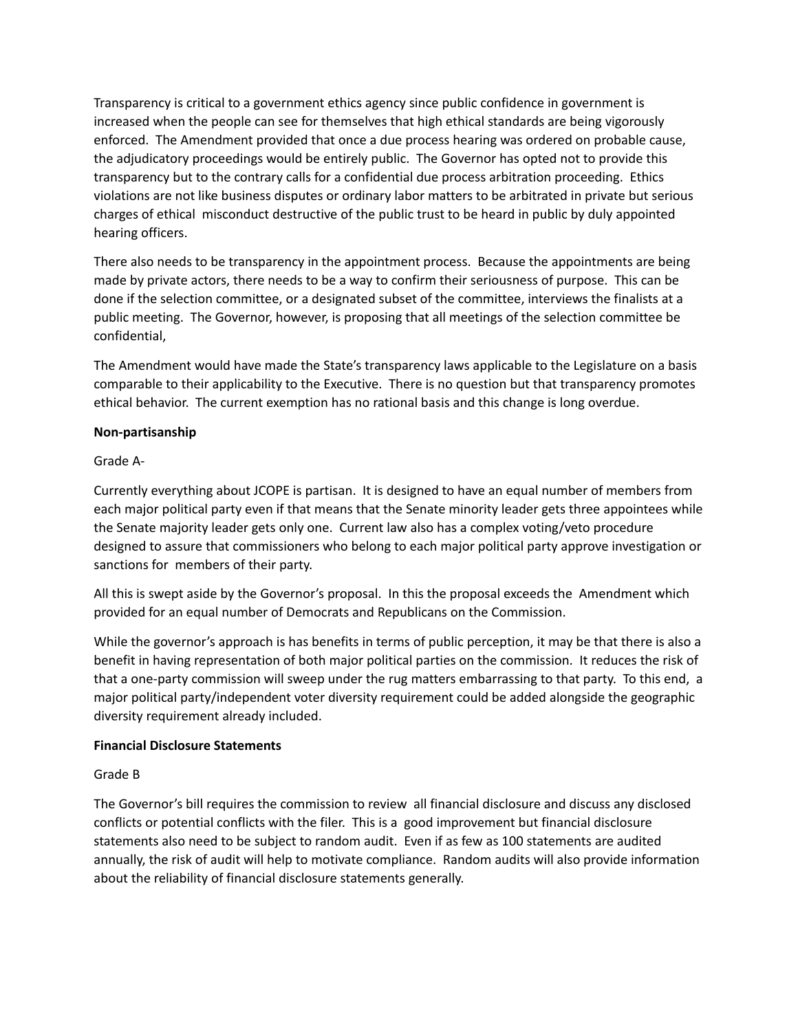Transparency is critical to a government ethics agency since public confidence in government is increased when the people can see for themselves that high ethical standards are being vigorously enforced. The Amendment provided that once a due process hearing was ordered on probable cause, the adjudicatory proceedings would be entirely public. The Governor has opted not to provide this transparency but to the contrary calls for a confidential due process arbitration proceeding. Ethics violations are not like business disputes or ordinary labor matters to be arbitrated in private but serious charges of ethical misconduct destructive of the public trust to be heard in public by duly appointed hearing officers.

There also needs to be transparency in the appointment process. Because the appointments are being made by private actors, there needs to be a way to confirm their seriousness of purpose. This can be done if the selection committee, or a designated subset of the committee, interviews the finalists at a public meeting. The Governor, however, is proposing that all meetings of the selection committee be confidential,

The Amendment would have made the State's transparency laws applicable to the Legislature on a basis comparable to their applicability to the Executive. There is no question but that transparency promotes ethical behavior. The current exemption has no rational basis and this change is long overdue.

## **Non-partisanship**

# Grade A-

Currently everything about JCOPE is partisan. It is designed to have an equal number of members from each major political party even if that means that the Senate minority leader gets three appointees while the Senate majority leader gets only one. Current law also has a complex voting/veto procedure designed to assure that commissioners who belong to each major political party approve investigation or sanctions for members of their party.

All this is swept aside by the Governor's proposal. In this the proposal exceeds the Amendment which provided for an equal number of Democrats and Republicans on the Commission.

While the governor's approach is has benefits in terms of public perception, it may be that there is also a benefit in having representation of both major political parties on the commission. It reduces the risk of that a one-party commission will sweep under the rug matters embarrassing to that party. To this end, a major political party/independent voter diversity requirement could be added alongside the geographic diversity requirement already included.

## **Financial Disclosure Statements**

# Grade B

The Governor's bill requires the commission to review all financial disclosure and discuss any disclosed conflicts or potential conflicts with the filer. This is a good improvement but financial disclosure statements also need to be subject to random audit. Even if as few as 100 statements are audited annually, the risk of audit will help to motivate compliance. Random audits will also provide information about the reliability of financial disclosure statements generally.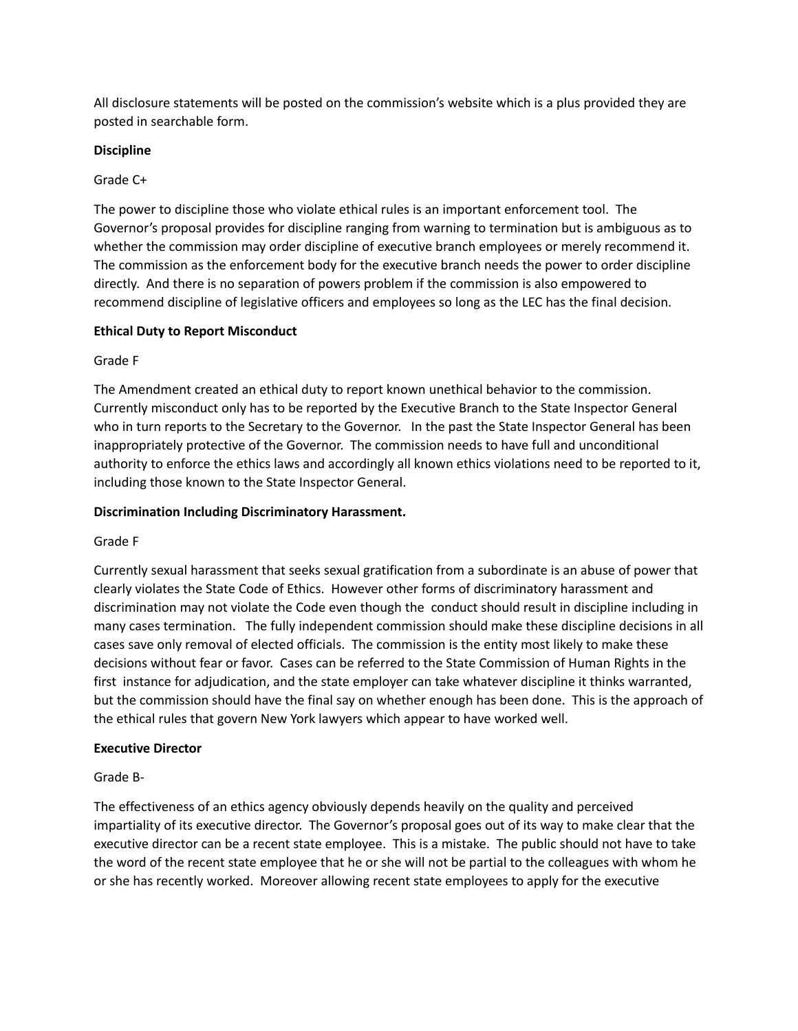All disclosure statements will be posted on the commission's website which is a plus provided they are posted in searchable form.

# **Discipline**

# Grade C+

The power to discipline those who violate ethical rules is an important enforcement tool. The Governor's proposal provides for discipline ranging from warning to termination but is ambiguous as to whether the commission may order discipline of executive branch employees or merely recommend it. The commission as the enforcement body for the executive branch needs the power to order discipline directly. And there is no separation of powers problem if the commission is also empowered to recommend discipline of legislative officers and employees so long as the LEC has the final decision.

## **Ethical Duty to Report Misconduct**

# Grade F

The Amendment created an ethical duty to report known unethical behavior to the commission. Currently misconduct only has to be reported by the Executive Branch to the State Inspector General who in turn reports to the Secretary to the Governor. In the past the State Inspector General has been inappropriately protective of the Governor. The commission needs to have full and unconditional authority to enforce the ethics laws and accordingly all known ethics violations need to be reported to it, including those known to the State Inspector General.

# **Discrimination Including Discriminatory Harassment.**

# Grade F

Currently sexual harassment that seeks sexual gratification from a subordinate is an abuse of power that clearly violates the State Code of Ethics. However other forms of discriminatory harassment and discrimination may not violate the Code even though the conduct should result in discipline including in many cases termination. The fully independent commission should make these discipline decisions in all cases save only removal of elected officials. The commission is the entity most likely to make these decisions without fear or favor. Cases can be referred to the State Commission of Human Rights in the first instance for adjudication, and the state employer can take whatever discipline it thinks warranted, but the commission should have the final say on whether enough has been done. This is the approach of the ethical rules that govern New York lawyers which appear to have worked well.

## **Executive Director**

Grade B-

The effectiveness of an ethics agency obviously depends heavily on the quality and perceived impartiality of its executive director. The Governor's proposal goes out of its way to make clear that the executive director can be a recent state employee. This is a mistake. The public should not have to take the word of the recent state employee that he or she will not be partial to the colleagues with whom he or she has recently worked. Moreover allowing recent state employees to apply for the executive